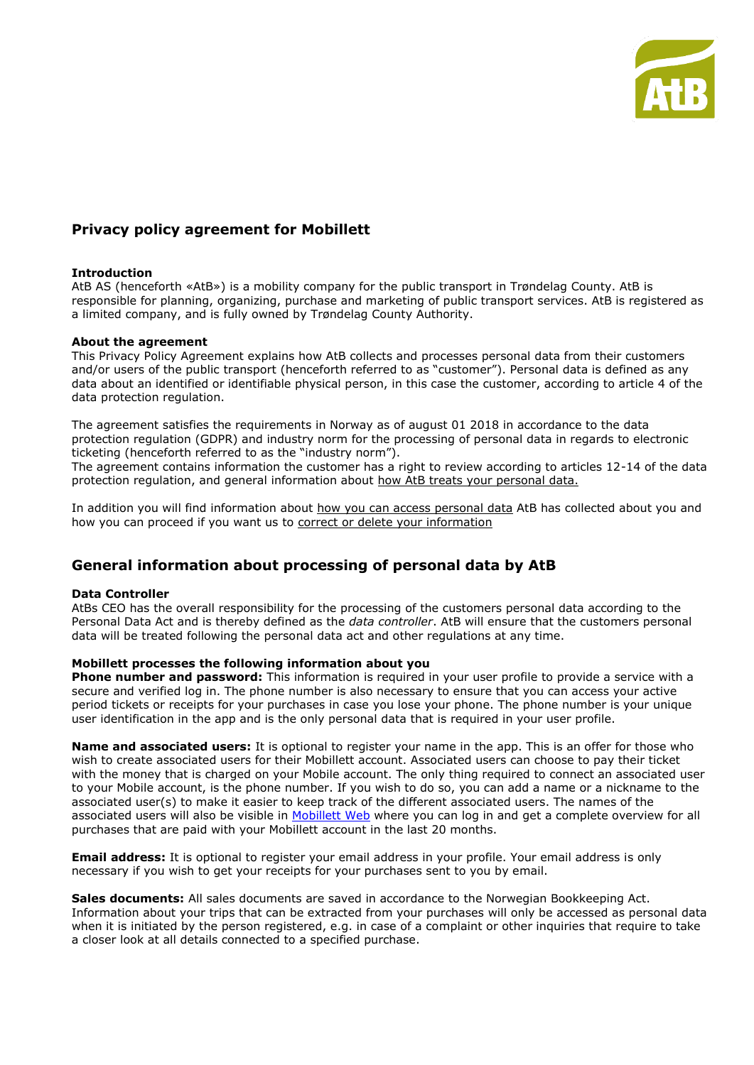

# **Privacy policy agreement for Mobillett**

## **Introduction**

AtB AS (henceforth «AtB») is a mobility company for the public transport in Trøndelag County. AtB is responsible for planning, organizing, purchase and marketing of public transport services. AtB is registered as a limited company, and is fully owned by Trøndelag County Authority.

#### **About the agreement**

This Privacy Policy Agreement explains how AtB collects and processes personal data from their customers and/or users of the public transport (henceforth referred to as "customer"). Personal data is defined as any data about an identified or identifiable physical person, in this case the customer, according to article 4 of the data protection regulation.

The agreement satisfies the requirements in Norway as of august 01 2018 in accordance to the data protection regulation (GDPR) and industry norm for the processing of personal data in regards to electronic ticketing (henceforth referred to as the "industry norm").

The agreement contains information the customer has a right to review according to articles 12-14 of the data protection regulation, and general information about how AtB treats your personal data.

In addition you will find information about how you can access personal data AtB has collected about you and how you can proceed if you want us to correct or delete your information

# **General information about processing of personal data by AtB**

## **Data Controller**

AtBs CEO has the overall responsibility for the processing of the customers personal data according to the Personal Data Act and is thereby defined as the *data controller*. AtB will ensure that the customers personal data will be treated following the personal data act and other regulations at any time.

## **Mobillett processes the following information about you**

**Phone number and password:** This information is required in your user profile to provide a service with a secure and verified log in. The phone number is also necessary to ensure that you can access your active period tickets or receipts for your purchases in case you lose your phone. The phone number is your unique user identification in the app and is the only personal data that is required in your user profile.

**Name and associated users:** It is optional to register your name in the app. This is an offer for those who wish to create associated users for their Mobillett account. Associated users can choose to pay their ticket with the money that is charged on your Mobile account. The only thing required to connect an associated user to your Mobile account, is the phone number. If you wish to do so, you can add a name or a nickname to the associated user(s) to make it easier to keep track of the different associated users. The names of the associated users will also be visible in [Mobillett Web](https://www.atb.no/mobillettkonto/) where you can log in and get a complete overview for all purchases that are paid with your Mobillett account in the last 20 months.

**Email address:** It is optional to register your email address in your profile. Your email address is only necessary if you wish to get your receipts for your purchases sent to you by email.

**Sales documents:** All sales documents are saved in accordance to the Norwegian Bookkeeping Act. Information about your trips that can be extracted from your purchases will only be accessed as personal data when it is initiated by the person registered, e.g. in case of a complaint or other inquiries that require to take a closer look at all details connected to a specified purchase.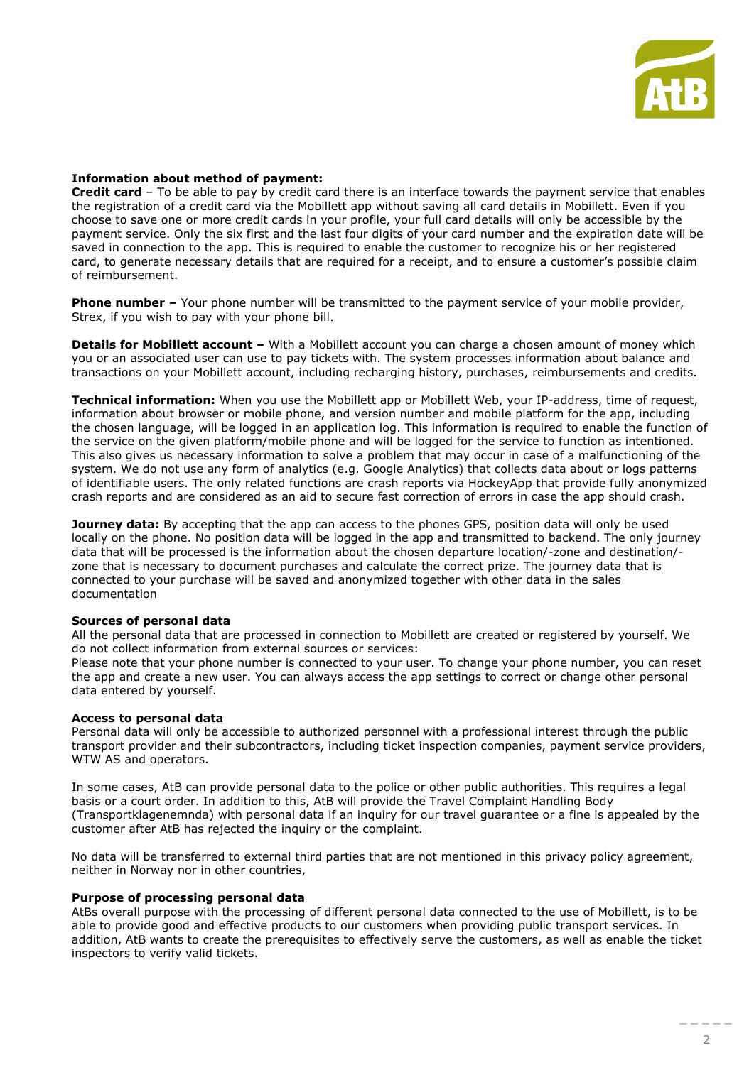

### **Information about method of payment:**

**Credit card** – To be able to pay by credit card there is an interface towards the payment service that enables the registration of a credit card via the Mobillett app without saving all card details in Mobillett. Even if you choose to save one or more credit cards in your profile, your full card details will only be accessible by the payment service. Only the six first and the last four digits of your card number and the expiration date will be saved in connection to the app. This is required to enable the customer to recognize his or her registered card, to generate necessary details that are required for a receipt, and to ensure a customer's possible claim of reimbursement.

**Phone number –** Your phone number will be transmitted to the payment service of your mobile provider, Strex, if you wish to pay with your phone bill.

**Details for Mobillett account –** With a Mobillett account you can charge a chosen amount of money which you or an associated user can use to pay tickets with. The system processes information about balance and transactions on your Mobillett account, including recharging history, purchases, reimbursements and credits.

**Technical information:** When you use the Mobillett app or Mobillett Web, your IP-address, time of request, information about browser or mobile phone, and version number and mobile platform for the app, including the chosen language, will be logged in an application log. This information is required to enable the function of the service on the given platform/mobile phone and will be logged for the service to function as intentioned. This also gives us necessary information to solve a problem that may occur in case of a malfunctioning of the system. We do not use any form of analytics (e.g. Google Analytics) that collects data about or logs patterns of identifiable users. The only related functions are crash reports via HockeyApp that provide fully anonymized crash reports and are considered as an aid to secure fast correction of errors in case the app should crash.

**Journey data:** By accepting that the app can access to the phones GPS, position data will only be used locally on the phone. No position data will be logged in the app and transmitted to backend. The only journey data that will be processed is the information about the chosen departure location/-zone and destination/ zone that is necessary to document purchases and calculate the correct prize. The journey data that is connected to your purchase will be saved and anonymized together with other data in the sales documentation

#### **Sources of personal data**

All the personal data that are processed in connection to Mobillett are created or registered by yourself. We do not collect information from external sources or services:

Please note that your phone number is connected to your user. To change your phone number, you can reset the app and create a new user. You can always access the app settings to correct or change other personal data entered by yourself.

#### **Access to personal data**

Personal data will only be accessible to authorized personnel with a professional interest through the public transport provider and their subcontractors, including ticket inspection companies, payment service providers, WTW AS and operators.

In some cases, AtB can provide personal data to the police or other public authorities. This requires a legal basis or a court order. In addition to this, AtB will provide the Travel Complaint Handling Body (Transportklagenemnda) with personal data if an inquiry for our travel guarantee or a fine is appealed by the customer after AtB has rejected the inquiry or the complaint.

No data will be transferred to external third parties that are not mentioned in this privacy policy agreement, neither in Norway nor in other countries,

#### **Purpose of processing personal data**

AtBs overall purpose with the processing of different personal data connected to the use of Mobillett, is to be able to provide good and effective products to our customers when providing public transport services. In addition, AtB wants to create the prerequisites to effectively serve the customers, as well as enable the ticket inspectors to verify valid tickets.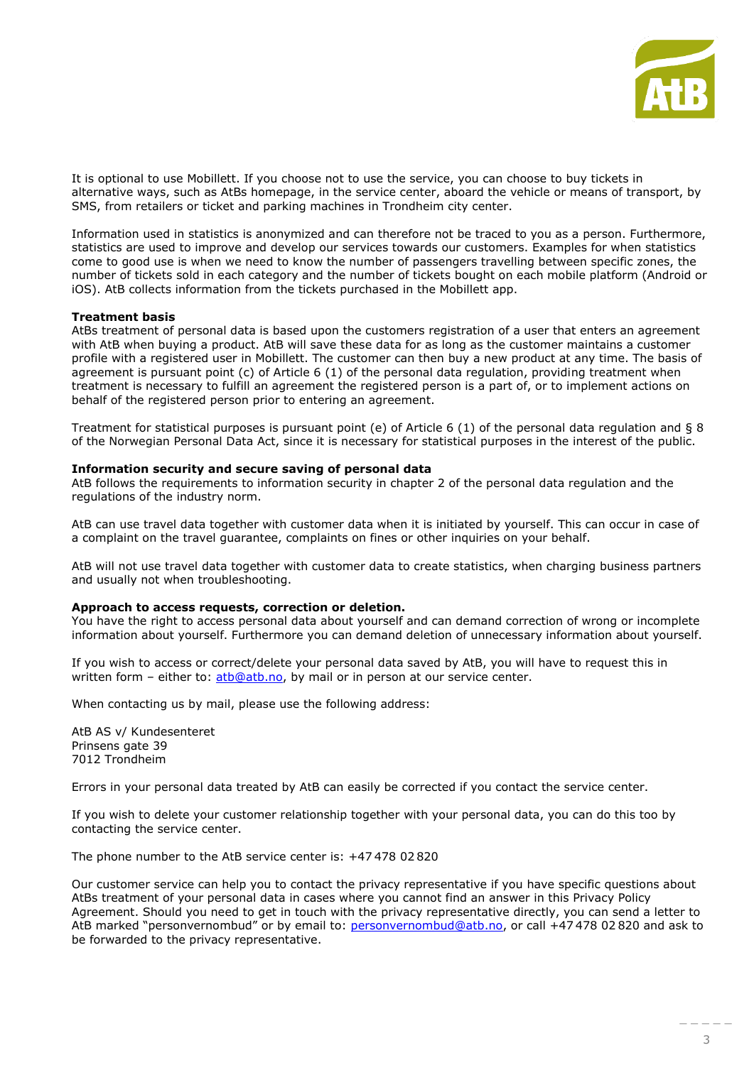

It is optional to use Mobillett. If you choose not to use the service, you can choose to buy tickets in alternative ways, such as AtBs homepage, in the service center, aboard the vehicle or means of transport, by SMS, from retailers or ticket and parking machines in Trondheim city center.

Information used in statistics is anonymized and can therefore not be traced to you as a person. Furthermore, statistics are used to improve and develop our services towards our customers. Examples for when statistics come to good use is when we need to know the number of passengers travelling between specific zones, the number of tickets sold in each category and the number of tickets bought on each mobile platform (Android or iOS). AtB collects information from the tickets purchased in the Mobillett app.

#### **Treatment basis**

AtBs treatment of personal data is based upon the customers registration of a user that enters an agreement with AtB when buying a product. AtB will save these data for as long as the customer maintains a customer profile with a registered user in Mobillett. The customer can then buy a new product at any time. The basis of agreement is pursuant point (c) of Article 6 (1) of the personal data regulation, providing treatment when treatment is necessary to fulfill an agreement the registered person is a part of, or to implement actions on behalf of the registered person prior to entering an agreement.

Treatment for statistical purposes is pursuant point (e) of Article 6 (1) of the personal data regulation and § 8 of the Norwegian Personal Data Act, since it is necessary for statistical purposes in the interest of the public.

### **Information security and secure saving of personal data**

AtB follows the requirements to information security in chapter 2 of the personal data regulation and the regulations of the industry norm.

AtB can use travel data together with customer data when it is initiated by yourself. This can occur in case of a complaint on the travel guarantee, complaints on fines or other inquiries on your behalf.

AtB will not use travel data together with customer data to create statistics, when charging business partners and usually not when troubleshooting.

#### **Approach to access requests, correction or deletion.**

You have the right to access personal data about yourself and can demand correction of wrong or incomplete information about yourself. Furthermore you can demand deletion of unnecessary information about yourself.

If you wish to access or correct/delete your personal data saved by AtB, you will have to request this in written form - either to: [atb@atb.no,](mailto:atb@atb.no) by mail or in person at our service center.

When contacting us by mail, please use the following address:

AtB AS v/ Kundesenteret Prinsens gate 39 7012 Trondheim

Errors in your personal data treated by AtB can easily be corrected if you contact the service center.

If you wish to delete your customer relationship together with your personal data, you can do this too by contacting the service center.

The phone number to the AtB service center is: +47 478 02 820

Our customer service can help you to contact the privacy representative if you have specific questions about AtBs treatment of your personal data in cases where you cannot find an answer in this Privacy Policy Agreement. Should you need to get in touch with the privacy representative directly, you can send a letter to AtB marked "personvernombud" or by email to: [personvernombud@atb.no](mailto:personvernombud@atb.no), or call +47 478 02 820 and ask to be forwarded to the privacy representative.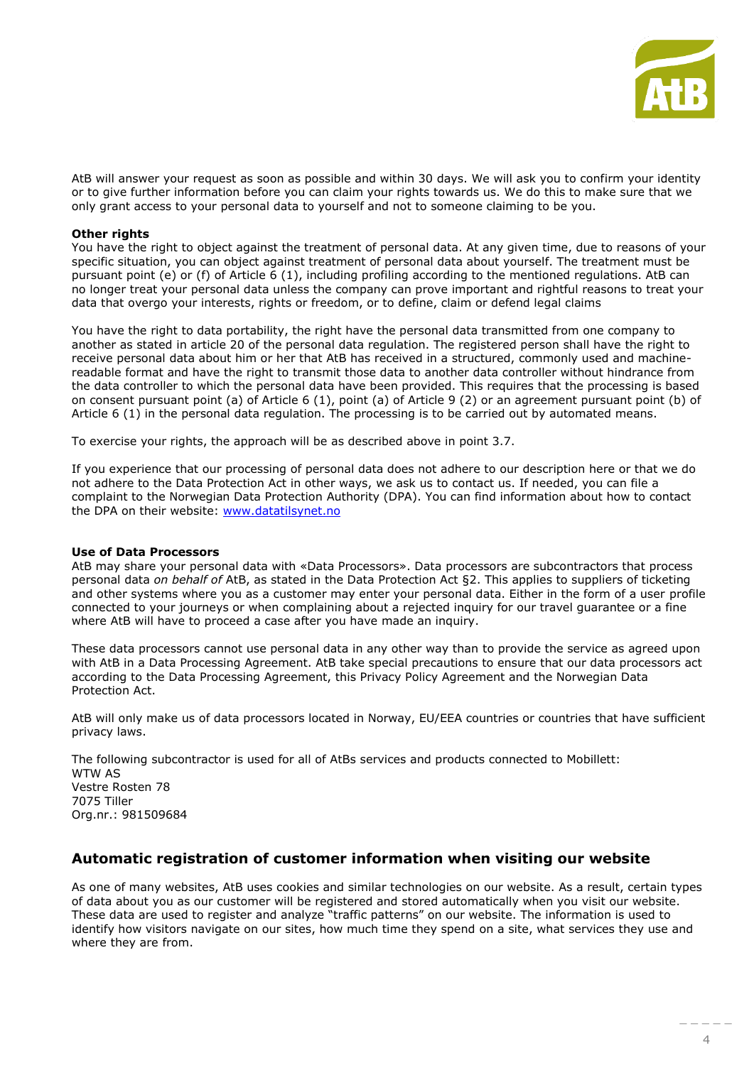

AtB will answer your request as soon as possible and within 30 days. We will ask you to confirm your identity or to give further information before you can claim your rights towards us. We do this to make sure that we only grant access to your personal data to yourself and not to someone claiming to be you.

## **Other rights**

You have the right to object against the treatment of personal data. At any given time, due to reasons of your specific situation, you can object against treatment of personal data about yourself. The treatment must be pursuant point (e) or (f) of Article 6 (1), including profiling according to the mentioned regulations. AtB can no longer treat your personal data unless the company can prove important and rightful reasons to treat your data that overgo your interests, rights or freedom, or to define, claim or defend legal claims

You have the right to data portability, the right have the personal data transmitted from one company to another as stated in article 20 of the personal data regulation. The registered person shall have the right to receive personal data about him or her that AtB has received in a structured, commonly used and machinereadable format and have the right to transmit those data to another data controller without hindrance from the data controller to which the personal data have been provided. This requires that the processing is based on consent pursuant point (a) of Article 6 (1), point (a) of Article 9 (2) or an agreement pursuant point (b) of Article 6 (1) in the personal data regulation. The processing is to be carried out by automated means.

To exercise your rights, the approach will be as described above in point 3.7.

If you experience that our processing of personal data does not adhere to our description here or that we do not adhere to the Data Protection Act in other ways, we ask us to contact us. If needed, you can file a complaint to the Norwegian Data Protection Authority (DPA). You can find information about how to contact the DPA on their website: [www.datatilsynet.no](http://www.datatilsynet.no/)

## **Use of Data Processors**

AtB may share your personal data with «Data Processors». Data processors are subcontractors that process personal data *on behalf of* AtB, as stated in the Data Protection Act §2. This applies to suppliers of ticketing and other systems where you as a customer may enter your personal data. Either in the form of a user profile connected to your journeys or when complaining about a rejected inquiry for our travel guarantee or a fine where AtB will have to proceed a case after you have made an inquiry.

These data processors cannot use personal data in any other way than to provide the service as agreed upon with AtB in a Data Processing Agreement. AtB take special precautions to ensure that our data processors act according to the Data Processing Agreement, this Privacy Policy Agreement and the Norwegian Data Protection Act.

AtB will only make us of data processors located in Norway, EU/EEA countries or countries that have sufficient privacy laws.

The following subcontractor is used for all of AtBs services and products connected to Mobillett:

WTW AS Vestre Rosten 78 7075 Tiller Org.nr.: 981509684

# **Automatic registration of customer information when visiting our website**

As one of many websites, AtB uses cookies and similar technologies on our website. As a result, certain types of data about you as our customer will be registered and stored automatically when you visit our website. These data are used to register and analyze "traffic patterns" on our website. The information is used to identify how visitors navigate on our sites, how much time they spend on a site, what services they use and where they are from.